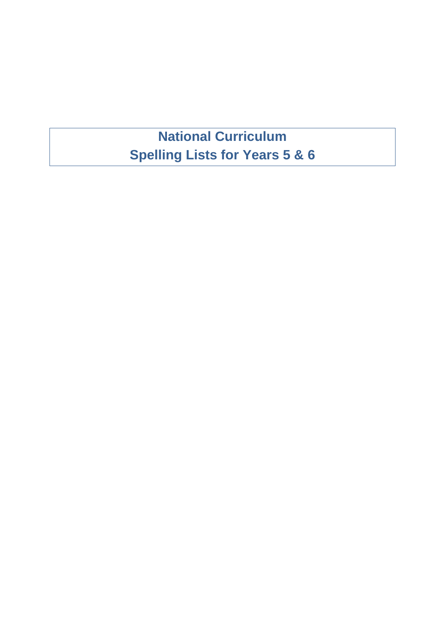## **National Curriculum Spelling Lists for Years 5 & 6**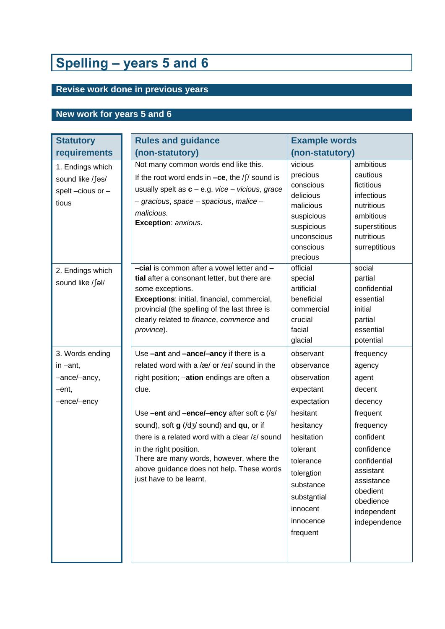# **Spelling – years 5 and 6**

### **Revise work done in previous years**

### **New work for years 5 and 6**

| <b>Statutory</b>                                                       | <b>Rules and guidance</b>                                                                                                                                                                                                                                                                                                                                                                                                                             | <b>Example words</b>                                                                                                                                                                                                                                                                                                                                                                                                          |  |  |
|------------------------------------------------------------------------|-------------------------------------------------------------------------------------------------------------------------------------------------------------------------------------------------------------------------------------------------------------------------------------------------------------------------------------------------------------------------------------------------------------------------------------------------------|-------------------------------------------------------------------------------------------------------------------------------------------------------------------------------------------------------------------------------------------------------------------------------------------------------------------------------------------------------------------------------------------------------------------------------|--|--|
| requirements                                                           | (non-statutory)                                                                                                                                                                                                                                                                                                                                                                                                                                       | (non-statutory)                                                                                                                                                                                                                                                                                                                                                                                                               |  |  |
| 1. Endings which<br>sound like /fas/<br>spelt-cious or-<br>tious       | Not many common words end like this.<br>If the root word ends in $-ce$ , the /f/ sound is<br>usually spelt as $c - e.g.$ vice – vicious, grace<br>- gracious, space - spacious, malice -<br>malicious.<br>Exception: anxious.                                                                                                                                                                                                                         | vicious<br>ambitious<br>precious<br>cautious<br>conscious<br>fictitious<br>delicious<br>infectious<br>malicious<br>nutritious<br>ambitious<br>suspicious<br>suspicious<br>superstitious<br>unconscious<br>nutritious<br>conscious<br>surreptitious<br>precious                                                                                                                                                                |  |  |
| 2. Endings which<br>sound like /∫əl/                                   | -cial is common after a vowel letter and -<br>tial after a consonant letter, but there are<br>some exceptions.<br>Exceptions: initial, financial, commercial,<br>provincial (the spelling of the last three is<br>clearly related to finance, commerce and<br>province).                                                                                                                                                                              | official<br>social<br>special<br>partial<br>artificial<br>confidential<br>beneficial<br>essential<br>initial<br>commercial<br>crucial<br>partial<br>facial<br>essential<br>potential<br>glacial                                                                                                                                                                                                                               |  |  |
| 3. Words ending<br>in $-$ ant,<br>-ance/-ancy,<br>-ent,<br>-ence/-ency | Use -ant and -ance/-ancy if there is a<br>related word with a /æ/ or /eɪ/ sound in the<br>right position; -ation endings are often a<br>clue.<br>Use -ent and -ence/-ency after soft c (/s/<br>sound), soft g (/dʒ/ sound) and qu, or if<br>there is a related word with a clear $/\varepsilon$ / sound<br>in the right position.<br>There are many words, however, where the<br>above guidance does not help. These words<br>just have to be learnt. | observant<br>frequency<br>observance<br>agency<br>observation<br>agent<br>expectant<br>decent<br>expectation<br>decency<br>hesitant<br>frequent<br>hesitancy<br>frequency<br>confident<br>hesitation<br>confidence<br>tolerant<br>confidential<br>tolerance<br>assistant<br>toleration<br>assistance<br>substance<br>obedient<br>substantial<br>obedience<br>innocent<br>independent<br>innocence<br>independence<br>frequent |  |  |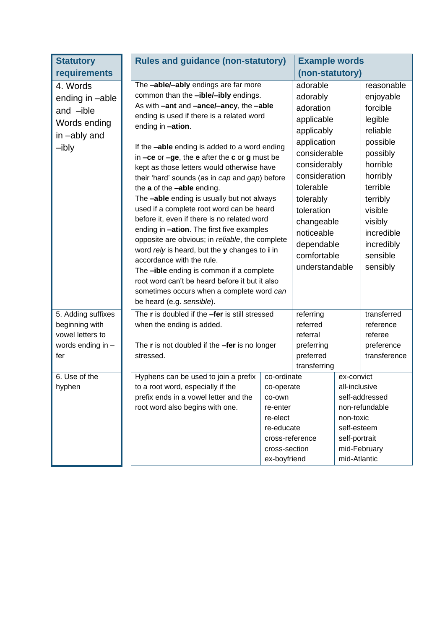| <b>Statutory</b>   |                            | <b>Rules and guidance (non-statutory)</b>                                                                                                                            |                                           | <b>Example words</b>        |               |                                  |
|--------------------|----------------------------|----------------------------------------------------------------------------------------------------------------------------------------------------------------------|-------------------------------------------|-----------------------------|---------------|----------------------------------|
| requirements       |                            |                                                                                                                                                                      |                                           | (non-statutory)             |               |                                  |
| 4. Words           |                            | The -able/-ably endings are far more                                                                                                                                 |                                           | adorable                    |               | reasonable                       |
| ending in -able    |                            | common than the -ible/-ibly endings.                                                                                                                                 |                                           | adorably                    |               | enjoyable                        |
| and -ible          |                            | As with -ant and -ance/-ancy, the -able                                                                                                                              |                                           | adoration                   |               | forcible                         |
| Words ending       |                            | ending is used if there is a related word                                                                                                                            |                                           | applicable                  |               | legible                          |
| in -ably and       |                            | ending in -ation.                                                                                                                                                    |                                           | applicably                  |               | reliable                         |
|                    |                            | If the <b>-able</b> ending is added to a word ending                                                                                                                 | application                               |                             | possible      |                                  |
| -ibly              |                            | in $-ce$ or $-ge$ , the e after the c or g must be                                                                                                                   | considerable                              |                             | possibly      |                                  |
|                    |                            | kept as those letters would otherwise have                                                                                                                           |                                           | horrible<br>considerably    |               |                                  |
|                    |                            | their 'hard' sounds (as in cap and gap) before                                                                                                                       | consideration<br>horribly                 |                             |               |                                  |
|                    | the a of the -able ending. |                                                                                                                                                                      |                                           | tolerable                   |               | terrible                         |
|                    |                            | The -able ending is usually but not always                                                                                                                           | tolerably                                 |                             | terribly      |                                  |
|                    |                            | used if a complete root word can be heard                                                                                                                            | toleration                                |                             | visible       |                                  |
|                    |                            | before it, even if there is no related word                                                                                                                          |                                           |                             | changeable    |                                  |
|                    |                            | ending in -ation. The first five examples                                                                                                                            | noticeable                                |                             | incredible    |                                  |
|                    |                            | opposite are obvious; in reliable, the complete                                                                                                                      | dependable                                |                             | incredibly    |                                  |
|                    |                            | word rely is heard, but the y changes to i in                                                                                                                        |                                           | comfortable                 |               | sensible                         |
|                    |                            | accordance with the rule.<br>The -ible ending is common if a complete<br>root word can't be heard before it but it also<br>sometimes occurs when a complete word can |                                           | understandable              |               | sensibly                         |
|                    |                            |                                                                                                                                                                      |                                           |                             |               |                                  |
|                    |                            |                                                                                                                                                                      |                                           |                             |               |                                  |
|                    |                            | be heard (e.g. sensible).                                                                                                                                            |                                           |                             |               |                                  |
| 5. Adding suffixes |                            | The r is doubled if the -fer is still stressed                                                                                                                       | referring                                 |                             |               | transferred                      |
| beginning with     |                            | when the ending is added.                                                                                                                                            |                                           | referred                    |               | reference                        |
| vowel letters to   |                            |                                                                                                                                                                      | referral                                  |                             |               | referee                          |
| words ending in -  |                            | The $r$ is not doubled if the $-$ fer is no longer                                                                                                                   |                                           | preferring                  |               | preference                       |
| fer                |                            | stressed.                                                                                                                                                            | preferred                                 |                             |               | transference                     |
|                    |                            |                                                                                                                                                                      |                                           | transferring                |               |                                  |
| 6. Use of the      |                            | Hyphens can be used to join a prefix<br>to a root word, especially if the                                                                                            | co-ordinate                               | ex-convict<br>all-inclusive |               |                                  |
| hyphen             |                            | prefix ends in a vowel letter and the                                                                                                                                |                                           | co-operate<br>co-own        |               |                                  |
|                    |                            | root word also begins with one.                                                                                                                                      | re-enter                                  |                             |               | self-addressed<br>non-refundable |
|                    |                            |                                                                                                                                                                      | re-elect<br>re-educate<br>cross-reference |                             | non-toxic     |                                  |
|                    |                            |                                                                                                                                                                      |                                           |                             | self-esteem   |                                  |
|                    |                            |                                                                                                                                                                      |                                           |                             | self-portrait |                                  |
|                    |                            |                                                                                                                                                                      | cross-section                             |                             | mid-February  |                                  |
|                    |                            |                                                                                                                                                                      | ex-boyfriend                              |                             | mid-Atlantic  |                                  |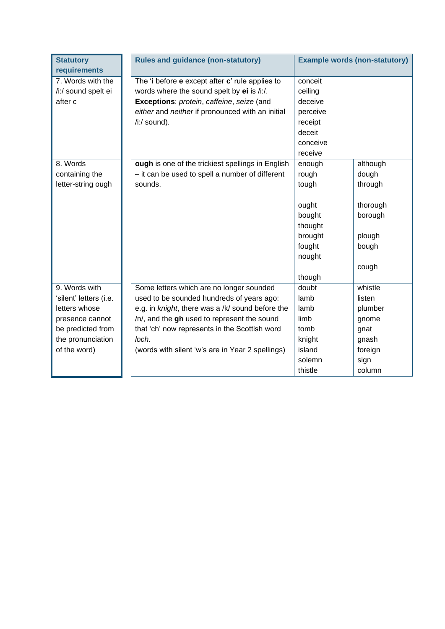| <b>Statutory</b><br>requirements                                                                                                      | <b>Rules and guidance (non-statutory)</b>                                                                                                                                                                                                                                                              | <b>Example words (non-statutory)</b>                                                            |                                                                                     |  |
|---------------------------------------------------------------------------------------------------------------------------------------|--------------------------------------------------------------------------------------------------------------------------------------------------------------------------------------------------------------------------------------------------------------------------------------------------------|-------------------------------------------------------------------------------------------------|-------------------------------------------------------------------------------------|--|
| 7. Words with the<br>/i:/ sound spelt ei<br>after c                                                                                   | The 'i before e except after c' rule applies to<br>words where the sound spelt by ei is /i:/.<br>Exceptions: protein, caffeine, seize (and<br>either and neither if pronounced with an initial<br>/i:/ sound).                                                                                         | conceit<br>ceiling<br>deceive<br>perceive<br>receipt<br>deceit<br>conceive<br>receive           |                                                                                     |  |
| 8. Words<br>containing the<br>letter-string ough                                                                                      | ough is one of the trickiest spellings in English<br>- it can be used to spell a number of different<br>sounds.                                                                                                                                                                                        | enough<br>rough<br>tough<br>ought<br>bought<br>thought<br>brought<br>fought<br>nought<br>though | although<br>dough<br>through<br>thorough<br>borough<br>plough<br>bough<br>cough     |  |
| 9. Words with<br>'silent' letters (i.e.<br>letters whose<br>presence cannot<br>be predicted from<br>the pronunciation<br>of the word) | Some letters which are no longer sounded<br>used to be sounded hundreds of years ago:<br>e.g. in knight, there was a /k/ sound before the<br>/n/, and the gh used to represent the sound<br>that 'ch' now represents in the Scottish word<br>loch.<br>(words with silent 'w's are in Year 2 spellings) | doubt<br>lamb<br>lamb<br>limb<br>tomb<br>knight<br>island<br>solemn<br>thistle                  | whistle<br>listen<br>plumber<br>gnome<br>gnat<br>gnash<br>foreign<br>sign<br>column |  |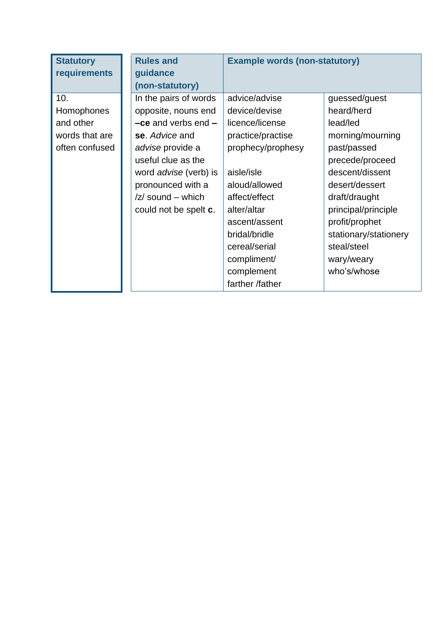| <b>Statutory</b> | <b>Rules and</b>                           | <b>Example words (non-statutory)</b> |                       |  |
|------------------|--------------------------------------------|--------------------------------------|-----------------------|--|
| requirements     | guidance                                   |                                      |                       |  |
|                  | (non-statutory)                            |                                      |                       |  |
| 10.              | In the pairs of words                      | advice/advise                        | guessed/guest         |  |
| Homophones       | opposite, nouns end                        | device/devise                        | heard/herd            |  |
| and other        | $-$ ce and verbs end $-$                   | licence/license                      | lead/led              |  |
| words that are   | se. Advice and                             | practice/practise                    | morning/mourning      |  |
| often confused   | advise provide a                           | prophecy/prophesy                    | past/passed           |  |
|                  | useful clue as the                         |                                      | precede/proceed       |  |
|                  | word <i>advise</i> (verb) is               | aisle/isle                           | descent/dissent       |  |
|                  | pronounced with a                          | aloud/allowed                        | desert/dessert        |  |
|                  | $\mathsf{Z}/\mathsf{sound}-\mathsf{which}$ | affect/effect                        | draft/draught         |  |
|                  | could not be spelt <b>c</b> .              | alter/altar                          | principal/principle   |  |
|                  |                                            | ascent/assent                        | profit/prophet        |  |
|                  |                                            | bridal/bridle                        | stationary/stationery |  |
|                  |                                            | cereal/serial                        | steal/steel           |  |
|                  |                                            | compliment/                          | wary/weary            |  |
|                  |                                            | complement                           | who's/whose           |  |
|                  |                                            | farther /father                      |                       |  |